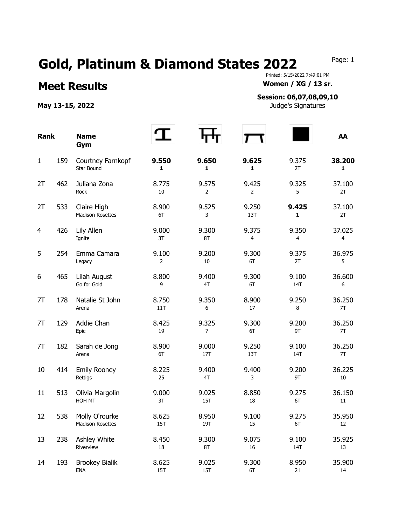## Gold, Platinum & Diamond States 2022 Page: 1

## **Meet Results Women / XG / 13 sr.**

May 13-15, 2022 **May 13-15, 2022** Judge's Signatures

Printed: 5/15/2022 7:49:01 PM

## **Session: 06,07,08,09,10**

| <b>Rank</b>    |     | <b>Name</b><br>Gym                     |                         |                         |                         |              | AA           |
|----------------|-----|----------------------------------------|-------------------------|-------------------------|-------------------------|--------------|--------------|
| $\mathbf{1}$   | 159 | Courtney Farnkopf<br>Star Bound        | 9.550<br>1              | 9.650<br>1              | 9.625<br>1              | 9.375<br>2T  | 38.200<br>1  |
| 2T             | 462 | Juliana Zona<br>Rock                   | 8.775<br>10             | 9.575<br>$\overline{2}$ | 9.425<br>$\overline{2}$ | 9.325<br>5   | 37.100<br>2T |
| 2T             | 533 | Claire High<br><b>Madison Rosettes</b> | 8.900<br>6T             | 9.525<br>3              | 9.250<br>13T            | 9.425<br>1   | 37.100<br>2T |
| $\overline{4}$ | 426 | Lily Allen<br>Ignite                   | 9.000<br>3T             | 9.300<br>8T             | 9.375<br>4              | 9.350<br>4   | 37.025<br>4  |
| 5              | 254 | Emma Camara<br>Legacy                  | 9.100<br>$\overline{2}$ | 9.200<br>10             | 9.300<br>6T             | 9.375<br>2T  | 36.975<br>5  |
| 6              | 465 | Lilah August<br>Go for Gold            | 8.800<br>9              | 9.400<br>4T             | 9.300<br>6T             | 9.100<br>14T | 36.600<br>6  |
| 7T             | 178 | Natalie St John<br>Arena               | 8.750<br>11T            | 9.350<br>6              | 8.900<br>17             | 9.250<br>8   | 36.250<br>7T |
| 7T             | 129 | Addie Chan<br>Epic                     | 8.425<br>19             | 9.325<br>7              | 9.300<br>6T             | 9.200<br>9T  | 36.250<br>7T |
| 7T             | 182 | Sarah de Jong<br>Arena                 | 8.900<br>6T             | 9.000<br>17T            | 9.250<br>13T            | 9.100<br>14T | 36.250<br>7T |
| 10             | 414 | <b>Emily Rooney</b><br>Rettigs         | 8.225<br>25             | 9.400<br>4T             | 9.400<br>3              | 9.200<br>9T  | 36.225<br>10 |
| 11             | 513 | Olivia Margolin<br>HOH MT              | 9.000<br>3T             | 9.025<br><b>15T</b>     | 8.850<br>18             | 9.275<br>6T  | 36.150<br>11 |
| 12             | 538 | Molly O'rourke<br>Madison Rosettes     | 8.625<br>15T            | 8.950<br>19T            | 9.100<br>15             | 9.275<br>6T  | 35.950<br>12 |
| 13             | 238 | Ashley White<br>Riverview              | 8.450<br>18             | 9.300<br>8T             | 9.075<br>16             | 9.100<br>14T | 35.925<br>13 |
| 14             | 193 | <b>Brookey Bialik</b><br><b>ENA</b>    | 8.625<br>15T            | 9.025<br><b>15T</b>     | 9.300<br>6T             | 8.950<br>21  | 35.900<br>14 |